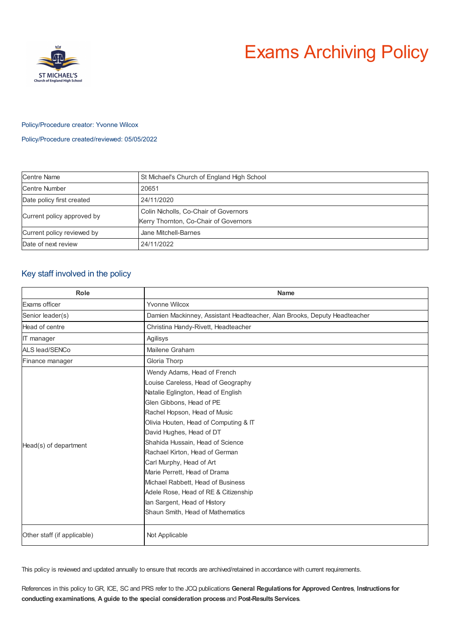

# Exams Archiving Policy

# Policy/Procedure creator: Yvonne Wilcox

Policy/Procedure created/reviewed: 05/05/2022

| Centre Name                | St Michael's Church of England High School                                     |
|----------------------------|--------------------------------------------------------------------------------|
| <b>Centre Number</b>       | 20651                                                                          |
| Date policy first created  | 24/11/2020                                                                     |
| Current policy approved by | Colin Nicholls, Co-Chair of Governors<br>Kerry Thornton, Co-Chair of Governors |
| Current policy reviewed by | Jane Mitchell-Barnes                                                           |
| Date of next review        | 24/11/2022                                                                     |

# Key staff involved in the policy

| Role                        | <b>Name</b>                                                              |
|-----------------------------|--------------------------------------------------------------------------|
| Exams officer               | Yvonne Wilcox                                                            |
| Senior leader(s)            | Damien Mackinney, Assistant Headteacher, Alan Brooks, Deputy Headteacher |
| Head of centre              | Christina Handy-Rivett, Headteacher                                      |
| <b>IT</b> manager           | Agilisys                                                                 |
| ALS lead/SENCo              | Mailene Graham                                                           |
| Finance manager             | Gloria Thorp                                                             |
| Head(s) of department       | Wendy Adams, Head of French                                              |
|                             | Louise Careless, Head of Geography                                       |
|                             | Natalie Eglington, Head of English                                       |
|                             | Glen Gibbons, Head of PE                                                 |
|                             | Rachel Hopson, Head of Music                                             |
|                             | Olivia Houten, Head of Computing & IT                                    |
|                             | David Hughes, Head of DT                                                 |
|                             | Shahida Hussain, Head of Science                                         |
|                             | Rachael Kirton, Head of German                                           |
|                             | Carl Murphy, Head of Art                                                 |
|                             | Marie Perrett, Head of Drama                                             |
|                             | Michael Rabbett, Head of Business                                        |
|                             | Adele Rose, Head of RE & Citizenship                                     |
|                             | lan Sargent, Head of History                                             |
|                             | Shaun Smith, Head of Mathematics                                         |
|                             |                                                                          |
| Other staff (if applicable) | Not Applicable                                                           |

This policy is reviewed and updated annually to ensure that records are archived/retained in accordance with current requirements.

References in this policy to GR, ICE, SC and PRS refer to the JCQ publications **General Regulations for Approved Centres**, **Instructions for conducting examinations**, **A guide to the special consideration process** and **Post-ResultsServices**.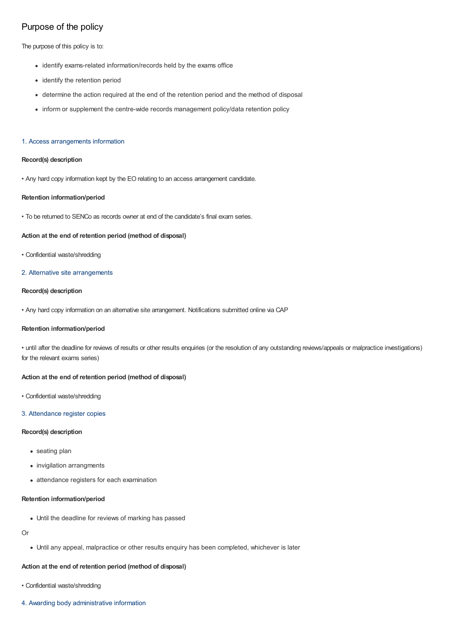# Purpose of the policy

The purpose of this policy is to:

- identify exams-related information/records held by the exams office
- identify the retention period
- determine the action required at the end of the retention period and the method of disposal
- inform or supplement the centre-wide records management policy/data retention policy

# 1. Access arrangements information

# **Record(s) description**

• Any hard copy information kept by the EO relating to an access arrangement candidate.

# **Retention information/period**

• To be returned to SENCo as records owner at end of the candidate's final exam series.

# **Action at the end of retention period (method of disposal)**

• Confidential waste/shredding

# 2. Alternative site arrangements

# **Record(s) description**

• Any hard copy information on an alternative site arrangement. Notifications submitted online via CAP

#### **Retention information/period**

• until after the deadline for reviews of results or other results enquiries (or the resolution of any outstanding reviews/appeals or malpractice investigations) for the relevant exams series)

#### **Action at the end of retention period (method of disposal)**

• Confidential waste/shredding

#### 3. Attendance register copies

#### **Record(s) description**

- seating plan
- invigilation arrangments
- attendance registers for each examination

# **Retention information/period**

Until the deadline for reviews of marking has passed

# Or

Until any appeal, malpractice or other results enquiry has been completed, whichever is later

# **Action at the end of retention period (method of disposal)**

- Confidential waste/shredding
- 4. Awarding body administrative information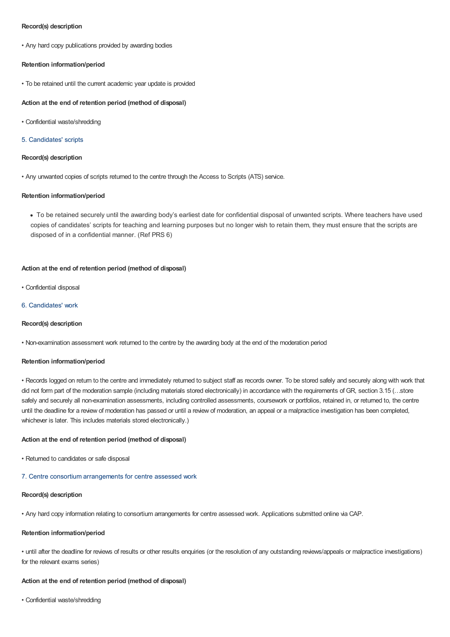# **Record(s) description**

• Any hard copy publications provided by awarding bodies

# **Retention information/period**

• To be retained until the current academic year update is provided

# **Action at the end of retention period (method of disposal)**

• Confidential waste/shredding

# 5. Candidates' scripts

# **Record(s) description**

• Any unwanted copies of scripts returned to the centre through the Access to Scripts (ATS) service.

# **Retention information/period**

To be retained securely until the awarding body's earliest date for confidential disposal of unwanted scripts. Where teachers have used copies of candidates' scripts for teaching and learning purposes but no longer wish to retain them, they must ensure that the scripts are disposed of in a confidential manner. (Ref PRS 6)

# **Action at the end of retention period (method of disposal)**

• Confidential disposal

# 6. Candidates' work

# **Record(s) description**

• Non-examination assessment work returned to the centre by the awarding body at the end of the moderation period

# **Retention information/period**

• Records logged on return to the centre and immediately returned to subject staff as records owner. To be stored safely and securely along with work that did not form part of the moderation sample (including materials stored electronically) in accordance with the requirements of GR, section 3.15 (…store safely and securely all non-examination assessments, including controlled assessments, coursework or portfolios, retained in, or returned to, the centre until the deadline for a review of moderation has passed or until a review of moderation, an appeal or a malpractice investigation has been completed, whichever is later. This includes materials stored electronically.)

# **Action at the end of retention period (method of disposal)**

- Returned to candidates or safe disposal
- 7. Centre consortium arrangements for centre assessed work

# **Record(s) description**

• Any hard copy information relating to consortium arrangements for centre assessed work. Applications submitted online via CAP.

# **Retention information/period**

• until after the deadline for reviews of results or other results enquiries (or the resolution of any outstanding reviews/appeals or malpractice investigations) for the relevant exams series)

#### **Action at the end of retention period (method of disposal)**

• Confidential waste/shredding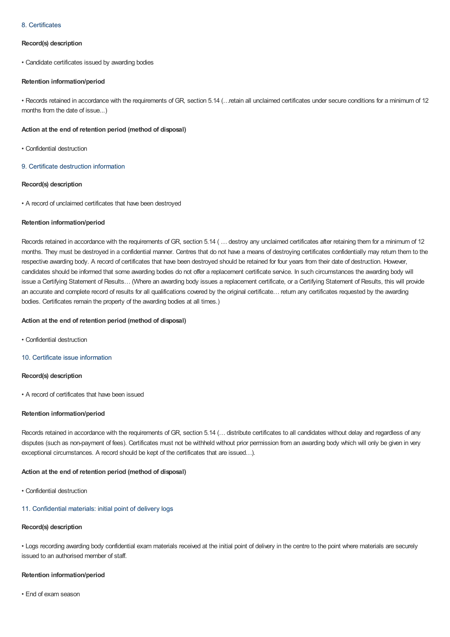# 8. Certificates

# **Record(s) description**

• Candidate certificates issued by awarding bodies

# **Retention information/period**

• Records retained in accordance with the requirements of GR, section 5.14 (…retain all unclaimed certificates under secure conditions for a minimum of 12 months from the date of issue...)

# **Action at the end of retention period (method of disposal)**

- Confidential destruction
- 9. Certificate destruction information

# **Record(s) description**

• A record of unclaimed certificates that have been destroyed

# **Retention information/period**

Records retained in accordance with the requirements of GR, section 5.14 ( … destroy any unclaimed certificates after retaining them for a minimum of 12 months. They must be destroyed in a confidential manner. Centres that do not have a means of destroying certificates confidentially may return them to the respective awarding body. A record of certificates that have been destroyed should be retained for four years from their date of destruction. However, candidates should be informed that some awarding bodies do not offer a replacement certificate service. In such circumstances the awarding body will issue a Certifying Statement of Results… (Where an awarding body issues a replacement certificate, or a Certifying Statement of Results, this will provide an accurate and complete record of results for all qualifications covered by the original certificate… return any certificates requested by the awarding bodies. Certificates remain the property of the awarding bodies at all times.)

# **Action at the end of retention period (method of disposal)**

- Confidential destruction
- 10. Certificate issue information

# **Record(s) description**

• A record of certificates that have been issued

#### **Retention information/period**

Records retained in accordance with the requirements of GR, section 5.14 (… distribute certificates to all candidates without delay and regardless of any disputes (such as non-payment of fees). Certificates must not be withheld without prior permission from an awarding body which will only be given in very exceptional circumstances. A record should be kept of the certificates that are issued…).

#### **Action at the end of retention period (method of disposal)**

• Confidential destruction

# 11. Confidential materials: initial point of delivery logs

# **Record(s) description**

• Logs recording awarding body confidential exam materials received at the initial point of delivery in the centre to the point where materials are securely issued to an authorised member of staff.

## **Retention information/period**

• End of exam season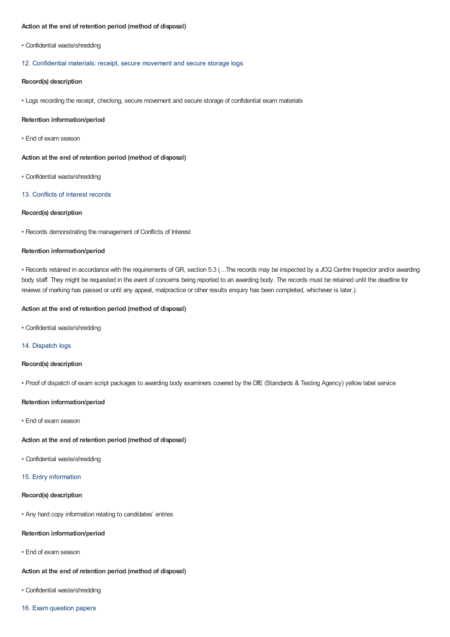# **Action at the end of retention period (method of disposal)**

• Confidential waste/shredding

#### 12. Confidential materials: receipt, secure movement and secure storage logs

# **Record(s) description**

• Logs recording the receipt, checking, secure movement and secure storage of confidential exam materials

#### **Retention information/period**

• End of exam season

**Action at the end of retention period (method of disposal)**

• Confidential waste/shredding

#### 13. Conflicts of interest records

# **Record(s) description**

• Records demonstrating the management of Conflicts of Interest

# **Retention information/period**

• Records retained in accordance with the requirements of GR, section 5.3 (…The records may be inspected by a JCQ Centre Inspector and/or awarding body staff. They might be requested in the event of concerns being reported to an awarding body. The records must be retained until the deadline for reviews of marking has passed or until any appeal, malpractice or other results enquiry has been completed, whichever is later.).

# **Action at the end of retention period (method of disposal)**

• Confidential waste/shredding

# 14. Dispatch logs

# **Record(s) description**

• Proof of dispatch of exam script packages to awarding body examiners covered by the DfE (Standards & Testing Agency) yellow label service

# **Retention information/period**

• End of exam season

## **Action at the end of retention period (method of disposal)**

• Confidential waste/shredding

# 15. Entry information

# **Record(s) description**

• Any hard copy information relating to candidates' entries

# **Retention information/period**

• End of exam season

# **Action at the end of retention period (method of disposal)**

- Confidential waste/shredding
- 16. Exam question papers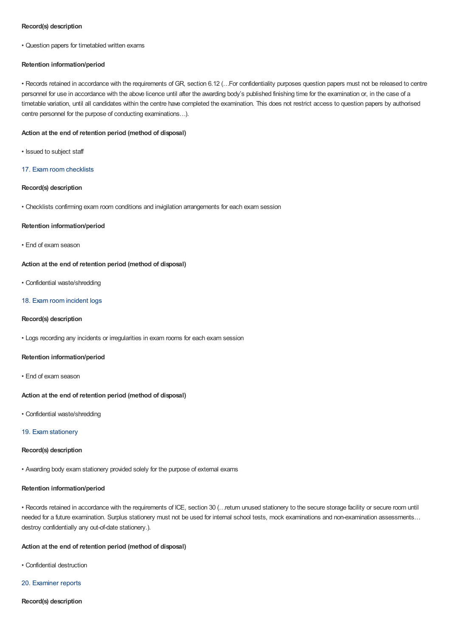# **Record(s) description**

• Question papers for timetabled written exams

# **Retention information/period**

• Records retained in accordance with the requirements of GR, section 6.12 (…For confidentiality purposes question papers must not be released to centre personnel for use in accordance with the above licence until after the awarding body's published finishing time for the examination or, in the case of a timetable variation, until all candidates within the centre have completed the examination. This does not restrict access to question papers by authorised centre personnel for the purpose of conducting examinations…).

# **Action at the end of retention period (method of disposal)**

- Issued to subject staff
- 17. Exam room checklists

# **Record(s) description**

• Checklists confirming exam room conditions and invigilation arrangements for each exam session

#### **Retention information/period**

• End of exam season

# **Action at the end of retention period (method of disposal)**

• Confidential waste/shredding

#### 18. Exam room incident logs

# **Record(s) description**

• Logs recording any incidents or irregularities in exam rooms for each exam session

# **Retention information/period**

• End of exam season

#### **Action at the end of retention period (method of disposal)**

• Confidential waste/shredding

#### 19. Exam stationery

# **Record(s) description**

• Awarding body exam stationery provided solely for the purpose of external exams

#### **Retention information/period**

• Records retained in accordance with the requirements of ICE, section 30 (…return unused stationery to the secure storage facility or secure room until needed for a future examination. Surplus stationery must not be used for internal school tests, mock examinations and non-examination assessments… destroy confidentially any out-of-date stationery.).

## **Action at the end of retention period (method of disposal)**

- Confidential destruction
- 20. Examiner reports
- **Record(s) description**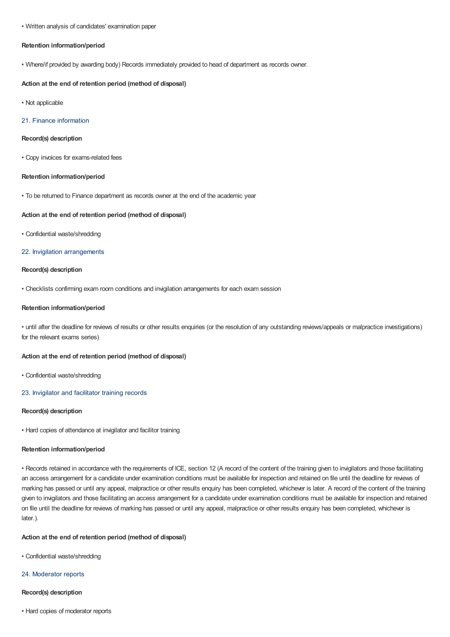#### • Written analysis of candidates' examination paper

# **Retention information/period**

• Where/if provided by awarding body) Records immediately provided to head of department as records owner.

#### **Action at the end of retention period (method of disposal)**

• Not applicable

## 21. Finance information

#### **Record(s) description**

• Copy invoices for exams-related fees

# **Retention information/period**

• To be returned to Finance department as records owner at the end of the academic year

## **Action at the end of retention period (method of disposal)**

• Confidential waste/shredding

# 22. Invigilation arrangements

# **Record(s) description**

• Checklists confirming exam room conditions and invigilation arrangements for each exam session

# **Retention information/period**

• until after the deadline for reviews of results or other results enquiries (or the resolution of any outstanding reviews/appeals or malpractice investigations) for the relevant exams series)

#### **Action at the end of retention period (method of disposal)**

• Confidential waste/shredding

# 23. Invigilator and facilitator training records

# **Record(s) description**

• Hard copies of attendance at invigilator and facilitor training

#### **Retention information/period**

• Records retained in accordance with the requirements of ICE, section 12 (A record of the content of the training given to invigilators and those facilitating an access arrangement for a candidate under examination conditions must be available for inspection and retained on file until the deadline for reviews of marking has passed or until any appeal, malpractice or other results enquiry has been completed, whichever is later. A record of the content of the training given to invigilators and those facilitating an access arrangement for a candidate under examination conditions must be available for inspection and retained on file until the deadline for reviews of marking has passed or until any appeal, malpractice or other results enquiry has been completed, whichever is later.).

#### **Action at the end of retention period (method of disposal)**

• Confidential waste/shredding

#### 24. Moderator reports

#### **Record(s) description**

• Hard copies of moderator reports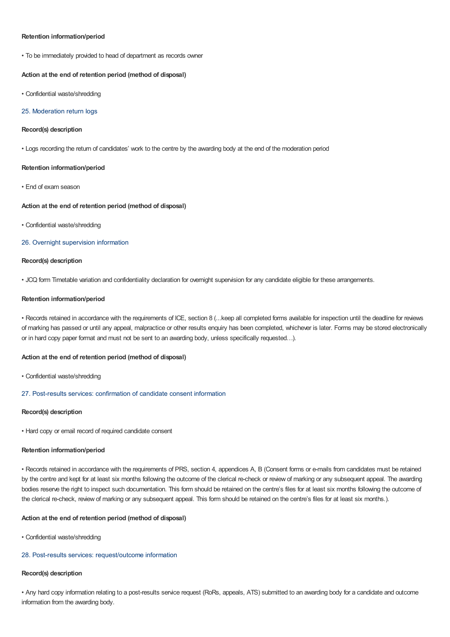## **Retention information/period**

• To be immediately provided to head of department as records owner

# **Action at the end of retention period (method of disposal)**

• Confidential waste/shredding

# 25. Moderation return logs

# **Record(s) description**

• Logs recording the return of candidates' work to the centre by the awarding body at the end of the moderation period

#### **Retention information/period**

• End of exam season

#### **Action at the end of retention period (method of disposal)**

• Confidential waste/shredding

# 26. Overnight supervision information

# **Record(s) description**

• JCQ form Timetable variation and confidentiality declaration for overnight supervision for any candidate eligible for these arrangements.

#### **Retention information/period**

• Records retained in accordance with the requirements of ICE, section 8 (...keep all completed forms available for inspection until the deadline for reviews of marking has passed or until any appeal, malpractice or other results enquiry has been completed, whichever is later. Forms may be stored electronically or in hard copy paper format and must not be sent to an awarding body, unless specifically requested…).

# **Action at the end of retention period (method of disposal)**

- Confidential waste/shredding
- 27. Post-results services: confirmation of candidate consent information

# **Record(s) description**

• Hard copy or email record of required candidate consent

# **Retention information/period**

• Records retained in accordance with the requirements of PRS, section 4, appendices A, B (Consent forms or e-mails from candidates must be retained by the centre and kept for at least six months following the outcome of the clerical re-check or review of marking or any subsequent appeal. The awarding bodies reserve the right to inspect such documentation. This form should be retained on the centre's files for at least six months following the outcome of the clerical re-check, review of marking or any subsequent appeal. This form should be retained on the centre's files for at least six months.).

# **Action at the end of retention period (method of disposal)**

• Confidential waste/shredding

# 28. Post-results services: request/outcome information

# **Record(s) description**

• Any hard copy information relating to a post-results service request (RoRs, appeals, ATS) submitted to an awarding body for a candidate and outcome information from the awarding body.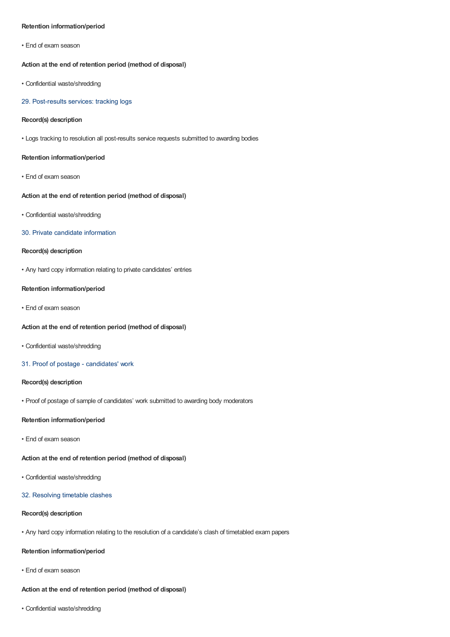# **Retention information/period**

• End of exam season

# **Action at the end of retention period (method of disposal)**

• Confidential waste/shredding

#### 29. Post-results services: tracking logs

# **Record(s) description**

• Logs tracking to resolution all post-results service requests submitted to awarding bodies

# **Retention information/period**

• End of exam season

# **Action at the end of retention period (method of disposal)**

• Confidential waste/shredding

#### 30. Private candidate information

# **Record(s) description**

• Any hard copy information relating to private candidates' entries

#### **Retention information/period**

• End of exam season

# **Action at the end of retention period (method of disposal)**

- Confidential waste/shredding
- 31. Proof of postage candidates' work

## **Record(s) description**

• Proof of postage of sample of candidates' work submitted to awarding body moderators

#### **Retention information/period**

• End of exam season

# **Action at the end of retention period (method of disposal)**

- Confidential waste/shredding
- 32. Resolving timetable clashes

# **Record(s) description**

• Any hard copy information relating to the resolution of a candidate's clash of timetabled exam papers

# **Retention information/period**

• End of exam season

# **Action at the end of retention period (method of disposal)**

• Confidential waste/shredding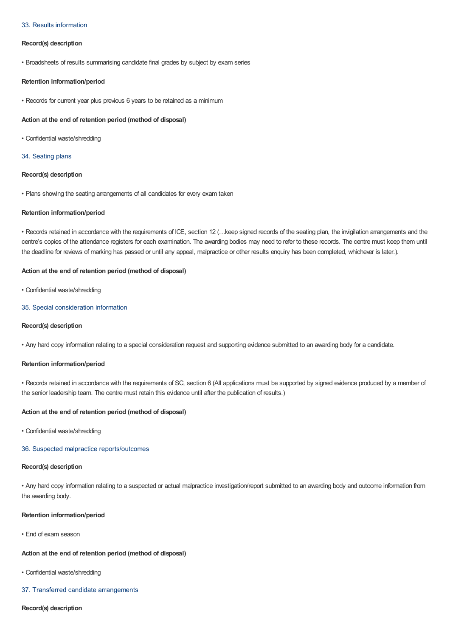# 33. Results information

# **Record(s) description**

• Broadsheets of results summarising candidate final grades by subject by exam series

#### **Retention information/period**

• Records for current year plus previous 6 years to be retained as a minimum

# **Action at the end of retention period (method of disposal)**

• Confidential waste/shredding

#### 34. Seating plans

# **Record(s) description**

• Plans showing the seating arrangements of all candidates for every exam taken

#### **Retention information/period**

• Records retained in accordance with the requirements of ICE, section 12 (…keep signed records of the seating plan, the invigilation arrangements and the centre's copies of the attendance registers for each examination. The awarding bodies may need to refer to these records. The centre must keep them until the deadline for reviews of marking has passed or until any appeal, malpractice or other results enquiry has been completed, whichever is later.).

# **Action at the end of retention period (method of disposal)**

• Confidential waste/shredding

#### 35. Special consideration information

# **Record(s) description**

• Any hard copy information relating to a special consideration request and supporting evidence submitted to an awarding body for a candidate.

# **Retention information/period**

• Records retained in accordance with the requirements of SC, section 6 (All applications must be supported by signed evidence produced by a member of the senior leadership team. The centre must retain this evidence until after the publication of results.)

#### **Action at the end of retention period (method of disposal)**

• Confidential waste/shredding

# 36. Suspected malpractice reports/outcomes

# **Record(s) description**

• Any hard copy information relating to a suspected or actual malpractice investigation/report submitted to an awarding body and outcome information from the awarding body.

#### **Retention information/period**

• End of exam season

# **Action at the end of retention period (method of disposal)**

- Confidential waste/shredding
- 37. Transferred candidate arrangements

#### **Record(s) description**